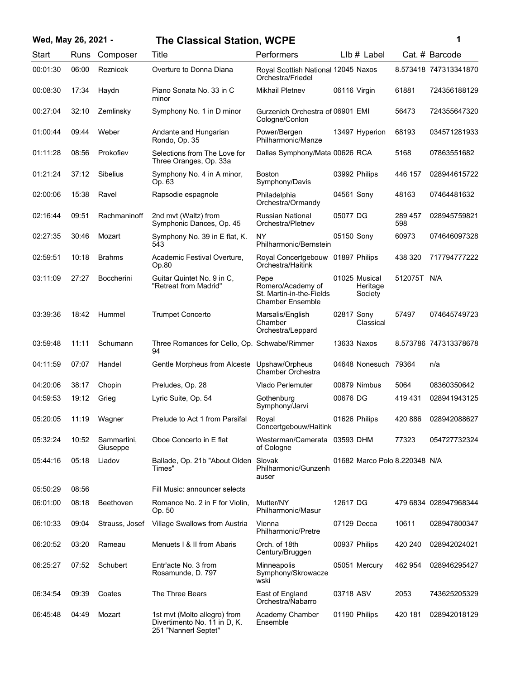## **Wed, May 26, 2021 - 1 The Classical Station, WCPE**

| Wed, May 26, 2021 - |       |               | The Classical Station, WCPE       |                                                          |                |       |                       |
|---------------------|-------|---------------|-----------------------------------|----------------------------------------------------------|----------------|-------|-----------------------|
| Start               |       | Runs Composer | Title                             | <b>Performers</b>                                        | $L$ lb # Label |       | Cat. # Barcode        |
| 00:01:30            | 06:00 | Reznicek      | Overture to Donna Diana           | Royal Scottish National 12045 Naxos<br>Orchestra/Friedel |                |       | 8.573418 747313341870 |
| 00:08:30            | 17:34 | Havdn         | Piano Sonata No. 33 in C<br>minor | Mikhail Pletnev                                          | 06116 Virgin   | 61881 | 724356188129          |

| 00:08:30 | 17:34 | Haydn                   | Piano Sonata No. 33 in C<br>minor                            | <b>Mikhail Pletnev</b>                                                           | 06116 Virgin                         | 61881          | 724356188129          |
|----------|-------|-------------------------|--------------------------------------------------------------|----------------------------------------------------------------------------------|--------------------------------------|----------------|-----------------------|
| 00:27:04 | 32:10 | Zemlinsky               | Symphony No. 1 in D minor                                    | Gurzenich Orchestra of 06901 EMI<br>Cologne/Conlon                               |                                      | 56473          | 724355647320          |
| 01:00:44 | 09:44 | Weber                   | Andante and Hungarian<br>Rondo, Op. 35                       | Power/Bergen<br>Philharmonic/Manze                                               | 13497 Hyperion                       | 68193          | 034571281933          |
| 01:11:28 | 08:56 | Prokofiev               | Selections from The Love for<br>Three Oranges, Op. 33a       | Dallas Symphony/Mata 00626 RCA                                                   |                                      | 5168           | 07863551682           |
| 01:21:24 | 37:12 | Sibelius                | Symphony No. 4 in A minor,<br>Op. 63                         | <b>Boston</b><br>Symphony/Davis                                                  | 03992 Philips                        | 446 157        | 028944615722          |
| 02:00:06 | 15:38 | Ravel                   | Rapsodie espagnole                                           | Philadelphia<br>Orchestra/Ormandy                                                | 04561 Sony                           | 48163          | 07464481632           |
| 02:16:44 | 09:51 | Rachmaninoff            | 2nd mvt (Waltz) from<br>Symphonic Dances, Op. 45             | <b>Russian National</b><br>Orchestra/Pletnev                                     | 05077 DG                             | 289 457<br>598 | 028945759821          |
| 02:27:35 | 30:46 | Mozart                  | Symphony No. 39 in E flat, K.<br>543                         | <b>NY</b><br>Philharmonic/Bernstein                                              | 05150 Sony                           | 60973          | 074646097328          |
| 02:59:51 | 10:18 | <b>Brahms</b>           | Academic Festival Overture,<br>Op.80                         | Royal Concertgebouw<br>Orchestra/Haitink                                         | 01897 Philips                        | 438 320        | 717794777222          |
| 03:11:09 | 27:27 | <b>Boccherini</b>       | Guitar Quintet No. 9 in C,<br>"Retreat from Madrid"          | Pepe<br>Romero/Academy of<br>St. Martin-in-the-Fields<br><b>Chamber Ensemble</b> | 01025 Musical<br>Heritage<br>Society | 512075T N/A    |                       |
| 03:39:36 | 18:42 | Hummel                  | <b>Trumpet Concerto</b>                                      | Marsalis/English<br>Chamber<br>Orchestra/Leppard                                 | 02817 Sony<br>Classical              | 57497          | 074645749723          |
| 03:59:48 | 11:11 | Schumann                | Three Romances for Cello, Op. Schwabe/Rimmer<br>94           |                                                                                  | 13633 Naxos                          |                | 8.573786 747313378678 |
| 04:11:59 | 07:07 | Handel                  | Gentle Morpheus from Alceste                                 | Upshaw/Orpheus<br>Chamber Orchestra                                              | 04648 Nonesuch 79364                 |                | n/a                   |
| 04:20:06 | 38:17 | Chopin                  | Preludes, Op. 28                                             | Vlado Perlemuter                                                                 | 00879 Nimbus                         | 5064           | 08360350642           |
| 04:59:53 | 19:12 | Grieg                   | Lyric Suite, Op. 54                                          | Gothenburg<br>Symphony/Jarvi                                                     | 00676 DG                             | 419 431        | 028941943125          |
| 05:20:05 | 11:19 | Wagner                  | Prelude to Act 1 from Parsifal                               | Royal<br>Concertgebouw/Haitink                                                   | 01626 Philips                        | 420 886        | 028942088627          |
| 05:32:24 | 10:52 | Sammartini,<br>Giuseppe | Oboe Concerto in E flat                                      | Westerman/Camerata 03593 DHM<br>of Cologne                                       |                                      | 77323          | 054727732324          |
| 05:44:16 | 05:18 | Liadov                  | Ballade, Op. 21b "About Olden Slovak<br>Times"               | Philharmonic/Gunzenh<br>auser                                                    | 01682 Marco Polo 8.220348 N/A        |                |                       |
| 05:50:29 | 08:56 |                         | Fill Music: announcer selects                                |                                                                                  |                                      |                |                       |
| 06:01:00 | 08:18 | Beethoven               | Romance No. 2 in F for Violin,<br>Op. 50                     | Mutter/NY<br>Philharmonic/Masur                                                  | 12617 DG                             |                | 479 6834 028947968344 |
| 06:10:33 | 09:04 | Strauss, Josef          | Village Swallows from Austria                                | Vienna<br>Philharmonic/Pretre                                                    | 07129 Decca                          | 10611          | 028947800347          |
| 06:20:52 | 03:20 | Rameau                  | Menuets   & II from Abaris                                   | Orch. of 18th<br>Century/Bruggen                                                 | 00937 Philips                        | 420 240        | 028942024021          |
| 06:25:27 | 07:52 | Schubert                | Entr'acte No. 3 from<br>Rosamunde, D. 797                    | <b>Minneapolis</b><br>Symphony/Skrowacze<br>wski                                 | 05051 Mercury                        | 462 954        | 028946295427          |
| 06:34:54 | 09:39 | Coates                  | The Three Bears                                              | East of England<br>Orchestra/Nabarro                                             | 03718 ASV                            | 2053           | 743625205329          |
| 06:45:48 | 04:49 | Mozart                  | 1st mvt (Molto allegro) from<br>Divertimento No. 11 in D, K. | Academy Chamber<br>Ensemble                                                      | 01190 Philips                        | 420 181        | 028942018129          |

251 "Nannerl Septet"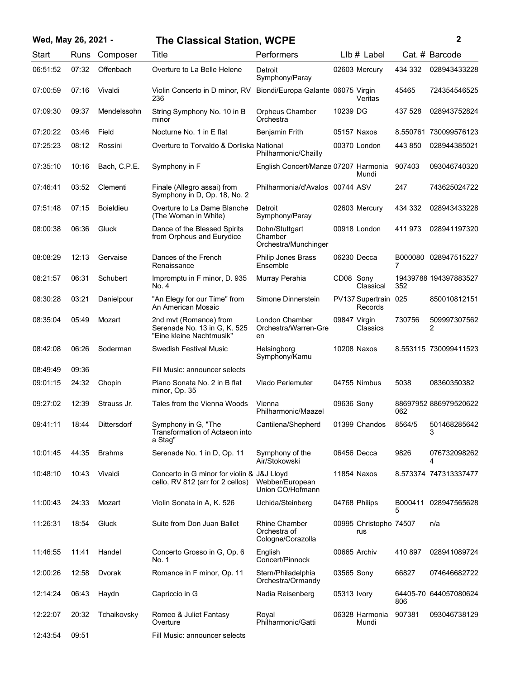| Wed, May 26, 2021 - |       |                  | <b>The Classical Station, WCPE</b>                                                 |                                                           |              |                                 |                | $\mathbf{2}$          |
|---------------------|-------|------------------|------------------------------------------------------------------------------------|-----------------------------------------------------------|--------------|---------------------------------|----------------|-----------------------|
| Start               | Runs  | Composer         | Title                                                                              | Performers                                                |              | $L$ lb $#$ Label                |                | Cat. # Barcode        |
| 06:51:52            | 07:32 | Offenbach        | Overture to La Belle Helene                                                        | Detroit<br>Symphony/Paray                                 |              | 02603 Mercury                   | 434 332        | 028943433228          |
| 07:00:59            | 07:16 | Vivaldi          | Violin Concerto in D minor, RV<br>236                                              | Biondi/Europa Galante 06075 Virgin                        |              | Veritas                         | 45465          | 724354546525          |
| 07:09:30            | 09:37 | Mendelssohn      | String Symphony No. 10 in B<br>minor                                               | Orpheus Chamber<br>Orchestra                              | 10239 DG     |                                 | 437 528        | 028943752824          |
| 07:20:22            | 03:46 | Field            | Nocturne No. 1 in E flat                                                           | <b>Benjamin Frith</b>                                     |              | 05157 Naxos                     |                | 8.550761 730099576123 |
| 07:25:23            | 08:12 | Rossini          | Overture to Torvaldo & Dorliska National                                           | Philharmonic/Chailly                                      |              | 00370 London                    | 443 850        | 028944385021          |
| 07:35:10            | 10:16 | Bach, C.P.E.     | Symphony in F                                                                      | English Concert/Manze 07207 Harmonia                      |              | Mundi                           | 907403         | 093046740320          |
| 07:46:41            | 03:52 | Clementi         | Finale (Allegro assai) from<br>Symphony in D, Op. 18, No. 2                        | Philharmonia/d'Avalos 00744 ASV                           |              |                                 | 247            | 743625024722          |
| 07:51:48            | 07:15 | <b>Boieldieu</b> | Overture to La Dame Blanche<br>(The Woman in White)                                | Detroit<br>Symphony/Paray                                 |              | 02603 Mercury                   | 434 332        | 028943433228          |
| 08:00:38            | 06:36 | Gluck            | Dance of the Blessed Spirits<br>from Orpheus and Eurydice                          | Dohn/Stuttgart<br>Chamber<br>Orchestra/Munchinger         |              | 00918 London                    | 411 973        | 028941197320          |
| 08:08:29            | 12:13 | Gervaise         | Dances of the French<br>Renaissance                                                | Philip Jones Brass<br>Ensemble                            |              | 06230 Decca                     | $\overline{7}$ | B000080 028947515227  |
| 08:21:57            | 06:31 | Schubert         | Impromptu in F minor, D. 935<br>No. 4                                              | Murray Perahia                                            | CD08 Sony    | Classical                       | 352            | 19439788 194397883527 |
| 08:30:28            | 03:21 | Danielpour       | "An Elegy for our Time" from<br>An American Mosaic                                 | Simone Dinnerstein                                        |              | PV137 Supertrain 025<br>Records |                | 850010812151          |
| 08:35:04            | 05:49 | Mozart           | 2nd mvt (Romance) from<br>Serenade No. 13 in G, K. 525<br>"Eine kleine Nachtmusik" | London Chamber<br>Orchestra/Warren-Gre<br>en              | 09847 Virgin | Classics                        | 730756         | 509997307562<br>2     |
| 08:42:08            | 06:26 | Soderman         | Swedish Festival Music                                                             | Helsingborg<br>Symphony/Kamu                              |              | 10208 Naxos                     |                | 8.553115 730099411523 |
| 08:49:49            | 09:36 |                  | Fill Music: announcer selects                                                      |                                                           |              |                                 |                |                       |
| 09:01:15            | 24:32 | Chopin           | Piano Sonata No. 2 in B flat<br>minor, Op. 35                                      | <b>Vlado Perlemuter</b>                                   |              | 04755 Nimbus                    | 5038           | 08360350382           |
| 09:27:02            | 12:39 | Strauss Jr.      | Tales from the Vienna Woods                                                        | Vienna<br>Philharmonic/Maazel                             | 09636 Sony   |                                 | 062            | 88697952 886979520622 |
| 09:41:11            | 18:44 | Dittersdorf      | Symphony in G, "The<br>Transformation of Actaeon into<br>a Stag"                   | Cantilena/Shepherd                                        |              | 01399 Chandos                   | 8564/5         | 501468285642<br>3     |
| 10:01:45            | 44:35 | <b>Brahms</b>    | Serenade No. 1 in D, Op. 11                                                        | Symphony of the<br>Air/Stokowski                          |              | 06456 Decca                     | 9826           | 076732098262<br>4     |
| 10:48:10            | 10:43 | Vivaldi          | Concerto in G minor for violin & J&J Lloyd<br>cello, RV 812 (arr for 2 cellos)     | Webber/European<br>Union CO/Hofmann                       |              | 11854 Naxos                     |                | 8.573374 747313337477 |
| 11:00:43            | 24:33 | Mozart           | Violin Sonata in A, K. 526                                                         | Uchida/Steinberg                                          |              | 04768 Philips                   | B000411<br>5   | 028947565628          |
| 11:26:31            | 18:54 | Gluck            | Suite from Don Juan Ballet                                                         | <b>Rhine Chamber</b><br>Orchestra of<br>Cologne/Corazolla |              | 00995 Christopho 74507<br>rus   |                | n/a                   |
| 11:46:55            | 11:41 | Handel           | Concerto Grosso in G, Op. 6<br>No. 1                                               | English<br>Concert/Pinnock                                |              | 00665 Archiv                    | 410 897        | 028941089724          |
| 12:00:26            | 12:58 | Dvorak           | Romance in F minor, Op. 11                                                         | Stern/Philadelphia<br>Orchestra/Ormandy                   | 03565 Sony   |                                 | 66827          | 074646682722          |
| 12:14:24            | 06:43 | Haydn            | Capriccio in G                                                                     | Nadia Reisenberg                                          | 05313 Ivory  |                                 | 806            | 64405-70 644057080624 |
| 12:22:07            | 20:32 | Tchaikovsky      | Romeo & Juliet Fantasy<br>Overture                                                 | Royal<br>Philharmonic/Gatti                               |              | 06328 Harmonia<br>Mundi         | 907381         | 093046738129          |
| 12:43:54            | 09:51 |                  | Fill Music: announcer selects                                                      |                                                           |              |                                 |                |                       |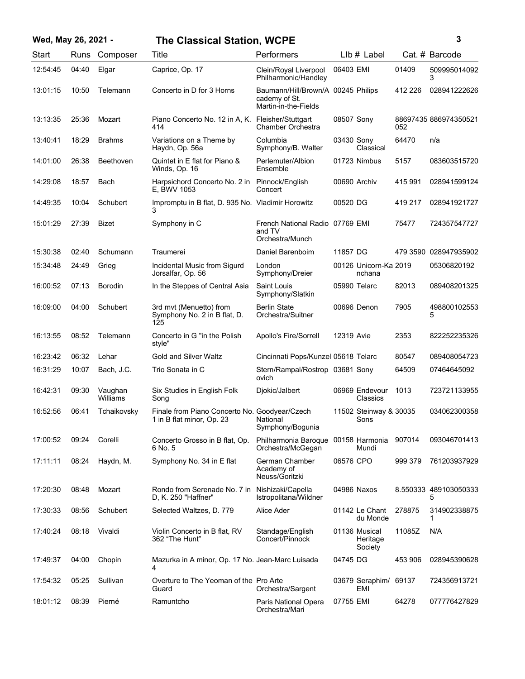| Wed, May 26, 2021 - |       |                     | <b>The Classical Station, WCPE</b>                                         |                                                                             |              |                                      | 3       |                            |  |
|---------------------|-------|---------------------|----------------------------------------------------------------------------|-----------------------------------------------------------------------------|--------------|--------------------------------------|---------|----------------------------|--|
| Start               |       | Runs Composer       | Title                                                                      | Performers                                                                  |              | LIb # Label                          |         | Cat. # Barcode             |  |
| 12:54:45            | 04:40 | Elgar               | Caprice, Op. 17                                                            | Clein/Royal Liverpool<br>Philharmonic/Handley                               | 06403 EMI    |                                      | 01409   | 509995014092<br>3          |  |
| 13:01:15            | 10:50 | Telemann            | Concerto in D for 3 Horns                                                  | Baumann/Hill/Brown/A 00245 Philips<br>cademy of St.<br>Martin-in-the-Fields |              |                                      | 412 226 | 028941222626               |  |
| 13:13:35            | 25:36 | Mozart              | Piano Concerto No. 12 in A, K. Fleisher/Stuttgart<br>414                   | Chamber Orchestra                                                           | 08507 Sony   |                                      | 052     | 88697435 886974350521      |  |
| 13:40:41            | 18:29 | <b>Brahms</b>       | Variations on a Theme by<br>Haydn, Op. 56a                                 | Columbia<br>Symphony/B. Walter                                              | 03430 Sony   | Classical                            | 64470   | n/a                        |  |
| 14:01:00            | 26:38 | Beethoven           | Quintet in E flat for Piano &<br>Winds, Op. 16                             | Perlemuter/Albion<br>Ensemble                                               |              | 01723 Nimbus                         | 5157    | 083603515720               |  |
| 14:29:08            | 18:57 | Bach                | Harpsichord Concerto No. 2 in<br>E, BWV 1053                               | Pinnock/English<br>Concert                                                  | 00690 Archiv |                                      | 415 991 | 028941599124               |  |
| 14:49:35            | 10:04 | Schubert            | Impromptu in B flat, D. 935 No. Vladimir Horowitz<br>3                     |                                                                             | 00520 DG     |                                      | 419 217 | 028941921727               |  |
| 15:01:29            | 27:39 | <b>Bizet</b>        | Symphony in C                                                              | French National Radio 07769 EMI<br>and TV<br>Orchestra/Munch                |              |                                      | 75477   | 724357547727               |  |
| 15:30:38            | 02:40 | Schumann            | Traumerei                                                                  | Daniel Barenboim                                                            | 11857 DG     |                                      |         | 479 3590 028947935902      |  |
| 15:34:48            | 24:49 | Grieg               | Incidental Music from Sigurd<br>Jorsalfar, Op. 56                          | London<br>Symphony/Dreier                                                   |              | 00126 Unicorn-Ka 2019<br>nchana      |         | 05306820192                |  |
| 16:00:52            | 07:13 | <b>Borodin</b>      | In the Steppes of Central Asia                                             | Saint Louis<br>Symphony/Slatkin                                             | 05990 Telarc |                                      | 82013   | 089408201325               |  |
| 16:09:00            | 04:00 | Schubert            | 3rd mvt (Menuetto) from<br>Symphony No. 2 in B flat, D.<br>125             | <b>Berlin State</b><br>Orchestra/Suitner                                    |              | 00696 Denon                          | 7905    | 498800102553<br>5          |  |
| 16:13:55            | 08:52 | Telemann            | Concerto in G "in the Polish<br>style"                                     | Apollo's Fire/Sorrell                                                       | 12319 Avie   |                                      | 2353    | 822252235326               |  |
| 16:23:42            | 06:32 | Lehar               | Gold and Silver Waltz                                                      | Cincinnati Pops/Kunzel 05618 Telarc                                         |              |                                      | 80547   | 089408054723               |  |
| 16:31:29            | 10:07 | Bach. J.C.          | Trio Sonata in C                                                           | Stern/Rampal/Rostrop 03681 Sony<br>ovich                                    |              |                                      | 64509   | 07464645092                |  |
| 16:42:31            | 09:30 | Vaughan<br>Williams | Six Studies in English Folk<br>Song                                        | Djokic/Jalbert                                                              |              | 06969 Endevour<br>Classics           | 1013    | 723721133955               |  |
| 16:52:56            | 06:41 | Tchaikovsky         | Finale from Piano Concerto No. Goodyear/Czech<br>1 in B flat minor, Op. 23 | National<br>Symphony/Bogunia                                                |              | 11502 Steinway & 30035<br>Sons       |         | 034062300358               |  |
| 17:00:52            | 09:24 | Corelli             | Concerto Grosso in B flat, Op.<br>6 No. 5                                  | Philharmonia Baroque<br>Orchestra/McGegan                                   |              | 00158 Harmonia<br>Mundi              | 907014  | 093046701413               |  |
| 17:11:11            | 08:24 | Haydn, M.           | Symphony No. 34 in E flat                                                  | German Chamber<br>Academy of<br>Neuss/Goritzki                              | 06576 CPO    |                                      | 999 379 | 761203937929               |  |
| 17:20:30            | 08:48 | Mozart              | Rondo from Serenade No. 7 in<br>D. K. 250 "Haffner"                        | Nishizaki/Capella<br>Istropolitana/Wildner                                  |              | 04986 Naxos                          |         | 8.550333 489103050333<br>5 |  |
| 17:30:33            | 08:56 | Schubert            | Selected Waltzes, D. 779                                                   | Alice Ader                                                                  |              | 01142 Le Chant<br>du Monde           | 278875  | 314902338875<br>1          |  |
| 17:40:24            | 08:18 | Vivaldi             | Violin Concerto in B flat, RV<br>362 "The Hunt"                            | Standage/English<br>Concert/Pinnock                                         |              | 01136 Musical<br>Heritage<br>Society | 11085Z  | N/A                        |  |
| 17:49:37            | 04:00 | Chopin              | Mazurka in A minor, Op. 17 No. Jean-Marc Luisada<br>4                      |                                                                             | 04745 DG     |                                      | 453 906 | 028945390628               |  |
| 17:54:32            | 05:25 | Sullivan            | Overture to The Yeoman of the Pro Arte<br>Guard                            | Orchestra/Sargent                                                           |              | 03679 Seraphim/ 69137<br>EMI         |         | 724356913721               |  |
| 18:01:12            | 08:39 | Pierné              | Ramuntcho                                                                  | Paris National Opera<br>Orchestra/Mari                                      | 07755 EMI    |                                      | 64278   | 077776427829               |  |